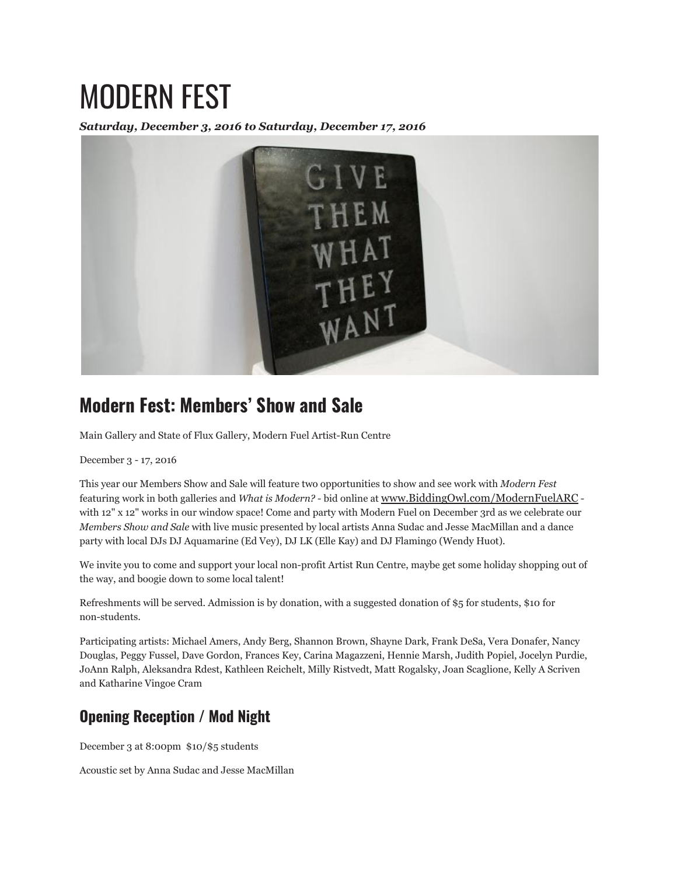# MODERN FEST

*Saturday, December 3, 2016 to Saturday, December 17, 2016*



# **Modern Fest: Members' Show and Sale**

Main Gallery and State of Flux Gallery, Modern Fuel Artist-Run Centre

December 3 - 17, 2016

This year our Members Show and Sale will feature two opportunities to show and see work with *Modern Fest* featuring work in both galleries and *What is Modern?* - bid online at www.BiddingOwl.com/ModernFuelARC with 12" x 12" works in our window space! Come and party with Modern Fuel on December 3rd as we celebrate our *Members Show and Sale* with live music presented by local artists Anna Sudac and Jesse MacMillan and a dance party with local DJs DJ Aquamarine (Ed Vey), DJ LK (Elle Kay) and DJ Flamingo (Wendy Huot).

We invite you to come and support your local non-profit Artist Run Centre, maybe get some holiday shopping out of the way, and boogie down to some local talent!

Refreshments will be served. Admission is by donation, with a suggested donation of \$5 for students, \$10 for non-students.

Participating artists: Michael Amers, Andy Berg, Shannon Brown, Shayne Dark, Frank DeSa, Vera Donafer, Nancy Douglas, Peggy Fussel, Dave Gordon, Frances Key, Carina Magazzeni, Hennie Marsh, Judith Popiel, Jocelyn Purdie, JoAnn Ralph, Aleksandra Rdest, Kathleen Reichelt, Milly Ristvedt, Matt Rogalsky, Joan Scaglione, Kelly A Scriven and Katharine Vingoe Cram

## **Opening Reception / Mod Night**

December 3 at 8:00pm \$10/\$5 students

Acoustic set by Anna Sudac and Jesse MacMillan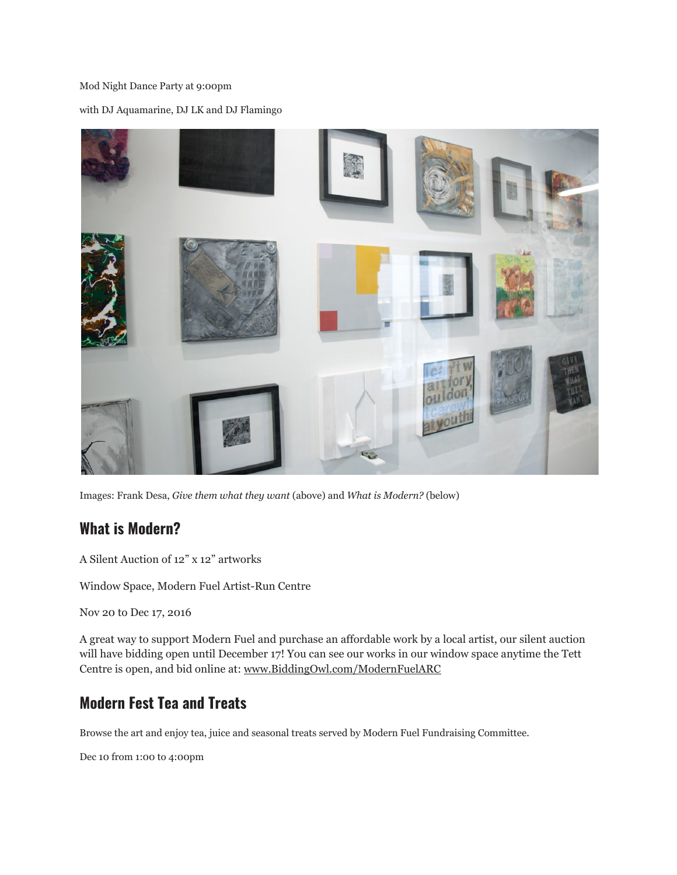#### Mod Night Dance Party at 9:00pm

with DJ Aquamarine, DJ LK and DJ Flamingo



Images: Frank Desa, *Give them what they want* (above) and *What is Modern?* (below)

### **What is Modern?**

A Silent Auction of 12" x 12" artworks

Window Space, Modern Fuel Artist-Run Centre

Nov 20 to Dec 17, 2016

A great way to support Modern Fuel and purchase an affordable work by a local artist, our silent auction will have bidding open until December 17! You can see our works in our window space anytime the Tett Centre is open, and bid online at: www.BiddingOwl.com/ModernFuelARC

## **Modern Fest Tea and Treats**

Browse the art and enjoy tea, juice and seasonal treats served by Modern Fuel Fundraising Committee.

Dec 10 from 1:00 to 4:00pm